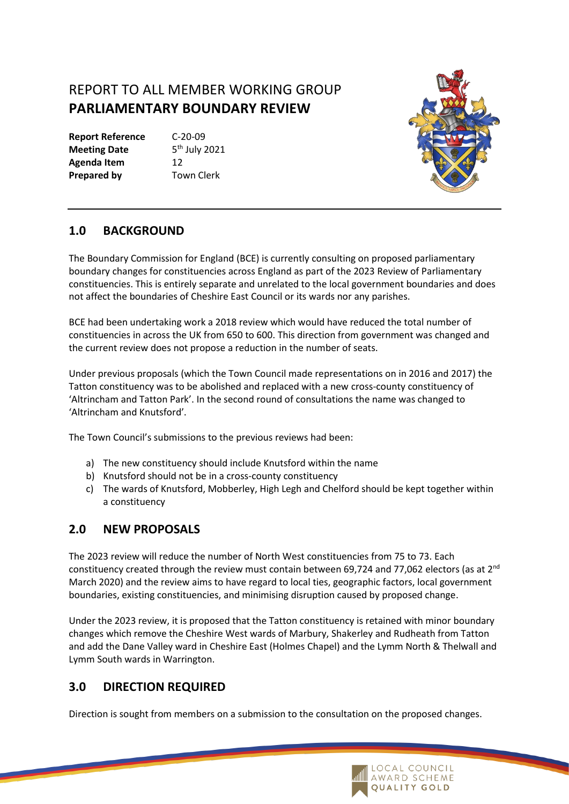## REPORT TO ALL MEMBER WORKING GROUP **PARLIAMENTARY BOUNDARY REVIEW**

**Report Reference** C-20-09 **Meeting Date Agenda Item** 12 **Prepared by Town Clerk** 

 $5<sup>th</sup>$  July 2021



## **1.0 BACKGROUND**

The Boundary Commission for England (BCE) is currently consulting on proposed parliamentary boundary changes for constituencies across England as part of the 2023 Review of Parliamentary constituencies. This is entirely separate and unrelated to the local government boundaries and does not affect the boundaries of Cheshire East Council or its wards nor any parishes.

BCE had been undertaking work a 2018 review which would have reduced the total number of constituencies in across the UK from 650 to 600. This direction from government was changed and the current review does not propose a reduction in the number of seats.

Under previous proposals (which the Town Council made representations on in 2016 and 2017) the Tatton constituency was to be abolished and replaced with a new cross-county constituency of 'Altrincham and Tatton Park'. In the second round of consultations the name was changed to 'Altrincham and Knutsford'.

The Town Council's submissions to the previous reviews had been:

- a) The new constituency should include Knutsford within the name
- b) Knutsford should not be in a cross-county constituency
- c) The wards of Knutsford, Mobberley, High Legh and Chelford should be kept together within a constituency

## **2.0 NEW PROPOSALS**

The 2023 review will reduce the number of North West constituencies from 75 to 73. Each constituency created through the review must contain between 69,724 and 77,062 electors (as at 2<sup>nd</sup> March 2020) and the review aims to have regard to local ties, geographic factors, local government boundaries, existing constituencies, and minimising disruption caused by proposed change.

Under the 2023 review, it is proposed that the Tatton constituency is retained with minor boundary changes which remove the Cheshire West wards of Marbury, Shakerley and Rudheath from Tatton and add the Dane Valley ward in Cheshire East (Holmes Chapel) and the Lymm North & Thelwall and Lymm South wards in Warrington.

## **3.0 DIRECTION REQUIRED**

Direction is sought from members on a submission to the consultation on the proposed changes.